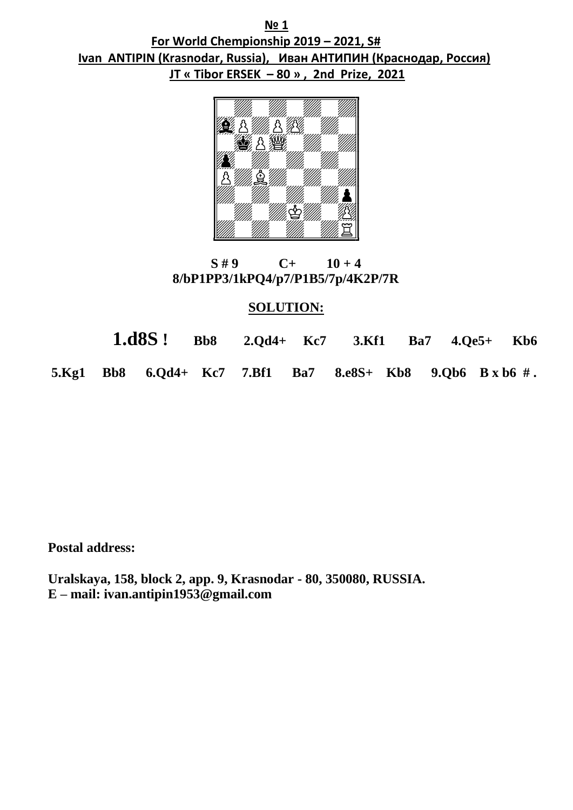**№ 1 For World Chempionship 2019 – 2021, S# Ivan ANTIPIN (Krasnodar, Russia), Иван АНТИПИН (Краснодар, Россия) JT « Tibor ERSEK – 80 » , 2nd Prize, 2021**



**S** #9 C+ 10 + 4  **8/bP1PP3/1kPQ4/p7/P1B5/7p/4K2P/7R**

### **SOLUTION:**

 **1.d8S ! Bb8 2.Qd4+ Kc7 3.Kf1 Ba7 4.Qe5+ Kb6 5.Kg1 Bb8 6.Qd4+ Kc7 7.Bf1 Ba7 8.e8S+ Kb8 9.Qb6 B x b6 # .**

 **Postal address:** 

 **Uralskaya, 158, block 2, app. 9, Krasnodar - 80, 350080, RUSSIA. E – mail: ivan.antipin1953@gmail.com**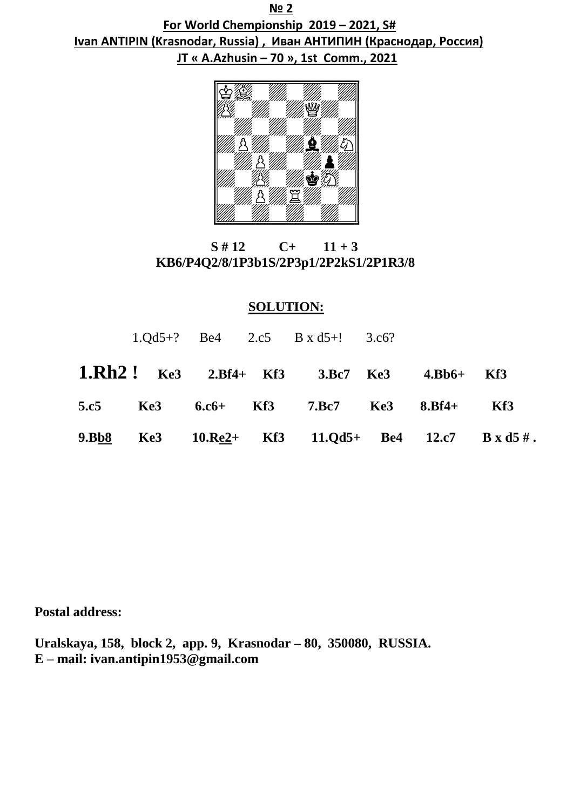**№ 2 For World Chempionship 2019 – 2021, S# Ivan ANTIPIN (Krasnodar, Russia) , Иван АНТИПИН (Краснодар, Россия) JT « А.Аzhusin – 70 », 1st Comm., 2021**



 $S \# 12$   $C_+$   $11 + 3$  **KB6/P4Q2/8/1P3b1S/2P3p1/2P2kS1/2P1R3/8**

# **SOLUTION:**

|      |  | $1.0d5+?$ Be4 $2.c5$ B x d5+! 3.c6?                        |  |     |
|------|--|------------------------------------------------------------|--|-----|
|      |  | <b>1.Rh2!</b> Ke3 2.Bf4+ Kf3 3.Bc7 Ke3 4.Bb6+ Kf3          |  |     |
| 5.c5 |  | Ke3 6.c6+ Kf3 7.Bc7 Ke3 8.Bf4+                             |  | Kf3 |
|      |  | 9.Bb8 Ke3 $10.$ Re2+ Kf3 $11.$ Qd5+ Be4 $12.$ c7 B x d5 #. |  |     |

**Postal address:** 

**Uralskaya, 158, block 2, app. 9, Krasnodar – 80, 350080, RUSSIA. E – mail: ivan.antipin1953@gmail.com**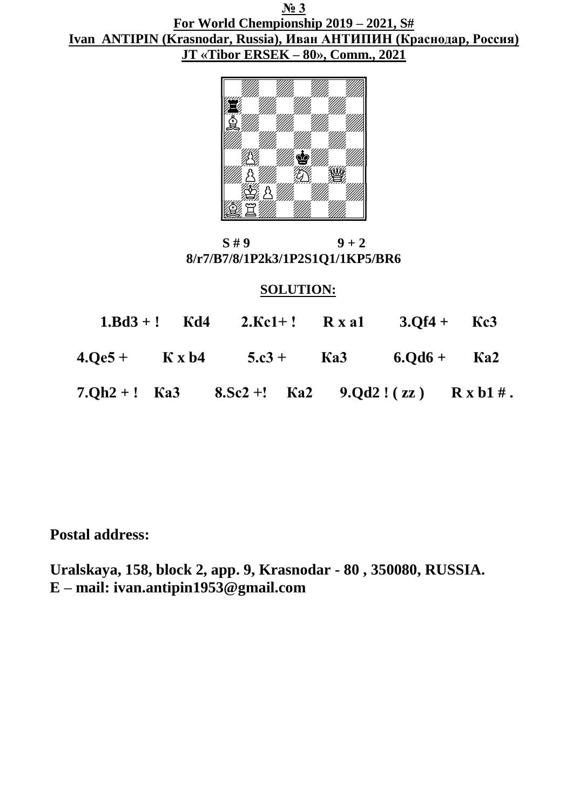**№ 3 For World Chempionship 2019 – 2021, S# Ivan ANTIPIN (Krasnodar, Russia), Иван АНТИПИН (Краснодар, Россия) JT «Tibor ERSEK – 80», Comm., 2021**



 $S \# 9$  9 + 2  **8/r7/B7/8/1P2k3/1P2S1Q1/1KP5/BR6**

### **SOLUTION:**

|  | $1.Bd3 + !$ Kd4 $2.Kc1 + !$ R x a1 $3.Of4 + Kc3$        |  |  |
|--|---------------------------------------------------------|--|--|
|  | $4.0e5 +$ K x b4 5.c3 + K a3 6.0d6 + K a2               |  |  |
|  | 7.Qh2 +! Ka3 8.Sc2 +! Ka2 9.Qd2!(zz) $R \times b1 \#$ . |  |  |

 **Postal address:** 

 **Uralskaya, 158, block 2, app. 9, Krasnodar - 80 , 350080, RUSSIA. E – mail: ivan.antipin1953@gmail.com**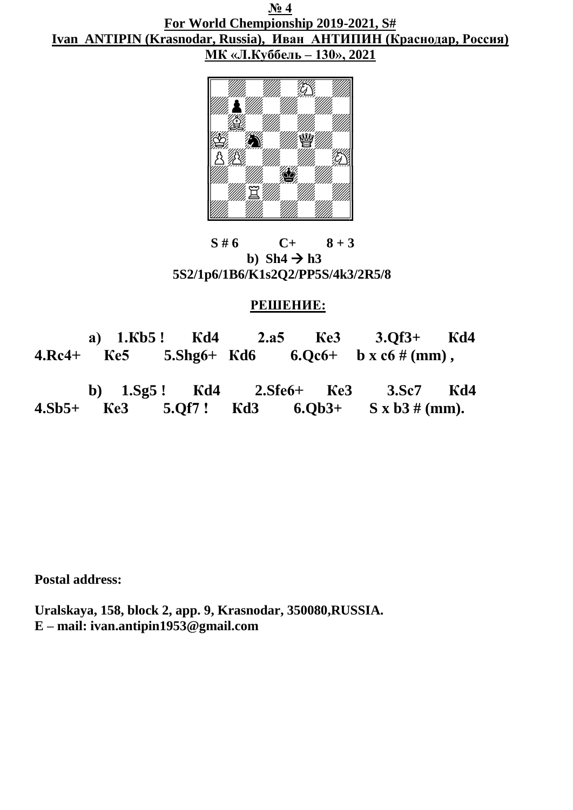**№ 4 For World Chempionship 2019-2021, S# Ivan ANTIPIN (Krasnodar, Russia), Иван АНТИПИН (Краснодар, Россия) МК «Л.Куббель – 130», 2021**



 $S \# 6$   $C+ 8+3$ b)  $\text{Sh}4 \rightarrow \text{h}3$  **5S2/1p6/1B6/K1s2Q2/PP5S/4k3/2R5/8**

## **РЕШЕНИЕ:**

 **а) 1.Кb5 ! Кd4 2.а5 Ке3 3.Qf3+ Кd4 4.Rс4+ Ке5 5.Shg6+ Кd6 6.Qс6+ b x с6 # (mm) , b) 1.Sg5 ! Кd4 2.Sfе6+ Ке3 3.Sс7 Кd4 4.Sb5+ Ке3 5.Qf7 ! Кd3 6.Qb3+ S x b3 # (mm).**

**Postal address:** 

**Uralskaya, 158, block 2, app. 9, Krasnodar, 350080,RUSSIA. E – mail: ivan.antipin1953@gmail.com**